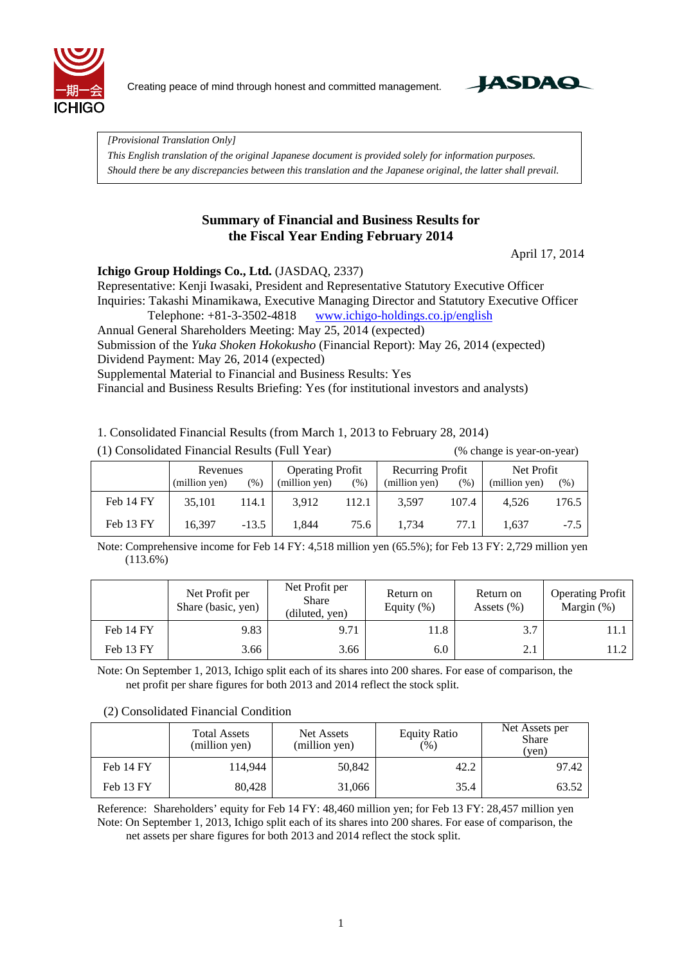

Creating peace of mind through honest and committed management.



*[Provisional Translation Only] This English translation of the original Japanese document is provided solely for information purposes. Should there be any discrepancies between this translation and the Japanese original, the latter shall prevail.*

### **Summary of Financial and Business Results for the Fiscal Year Ending February 2014**

April 17, 2014

### **Ichigo Group Holdings Co., Ltd.** (JASDAQ, 2337)

Representative: Kenji Iwasaki, President and Representative Statutory Executive Officer Inquiries: Takashi Minamikawa, Executive Managing Director and Statutory Executive Officer

Telephone: +81-3-3502-4818 www.ichigo-holdings.co.jp/english

Annual General Shareholders Meeting: May 25, 2014 (expected)

Submission of the *Yuka Shoken Hokokusho* (Financial Report): May 26, 2014 (expected) Dividend Payment: May 26, 2014 (expected)

Supplemental Material to Financial and Business Results: Yes

Financial and Business Results Briefing: Yes (for institutional investors and analysts)

1. Consolidated Financial Results (from March 1, 2013 to February 28, 2014)

|           | Revenues      |         | <b>Operating Profit</b> |        | Recurring Profit |       | Net Profit    |        |
|-----------|---------------|---------|-------------------------|--------|------------------|-------|---------------|--------|
|           | (million yen) | (%)     | (million yen)           | $(\%)$ | (million yen)    | (% )  | (million yen) | $(\%)$ |
| Feb 14 FY | 35.101        | 114.1   | 3.912                   | 112.1  | 3.597            | 107.4 | 4.526         | 176.5  |
| Feb 13 FY | 16.397        | $-13.5$ | 1,844                   | 75.6   | 1.734            | 77.1  | 1.637         | $-7.5$ |

(1) Consolidated Financial Results (Full Year) (% change is year-on-year)

Note: Comprehensive income for Feb 14 FY: 4,518 million yen (65.5%); for Feb 13 FY: 2,729 million yen (113.6%)

|           | Net Profit per<br>Share (basic, yen) | Net Profit per<br>Share<br>(diluted, yen) | Return on<br>Equity $(\%)$ | Return on<br>Assets $(\% )$ | <b>Operating Profit</b><br>Margin $(\%)$ |
|-----------|--------------------------------------|-------------------------------------------|----------------------------|-----------------------------|------------------------------------------|
| Feb 14 FY | 9.83                                 | 9.71                                      | 11.8                       | 3.7                         | 11.1                                     |
| Feb 13 FY | 3.66                                 | 3.66                                      | 6.0                        | 2.1                         | 11.2                                     |

Note: On September 1, 2013, Ichigo split each of its shares into 200 shares. For ease of comparison, the net profit per share figures for both 2013 and 2014 reflect the stock split.

#### (2) Consolidated Financial Condition

|           | <b>Total Assets</b><br>(million yen) | Net Assets<br>(million yen) | <b>Equity Ratio</b><br>(%) | Net Assets per<br><b>Share</b><br>(yen) |
|-----------|--------------------------------------|-----------------------------|----------------------------|-----------------------------------------|
| Feb 14 FY | 114.944                              | 50,842                      | 42.2                       | 97.42                                   |
| Feb 13 FY | 80,428                               | 31,066                      | 35.4                       | 63.52                                   |

Reference: Shareholders' equity for Feb 14 FY: 48,460 million yen; for Feb 13 FY: 28,457 million yen Note: On September 1, 2013, Ichigo split each of its shares into 200 shares. For ease of comparison, the net assets per share figures for both 2013 and 2014 reflect the stock split.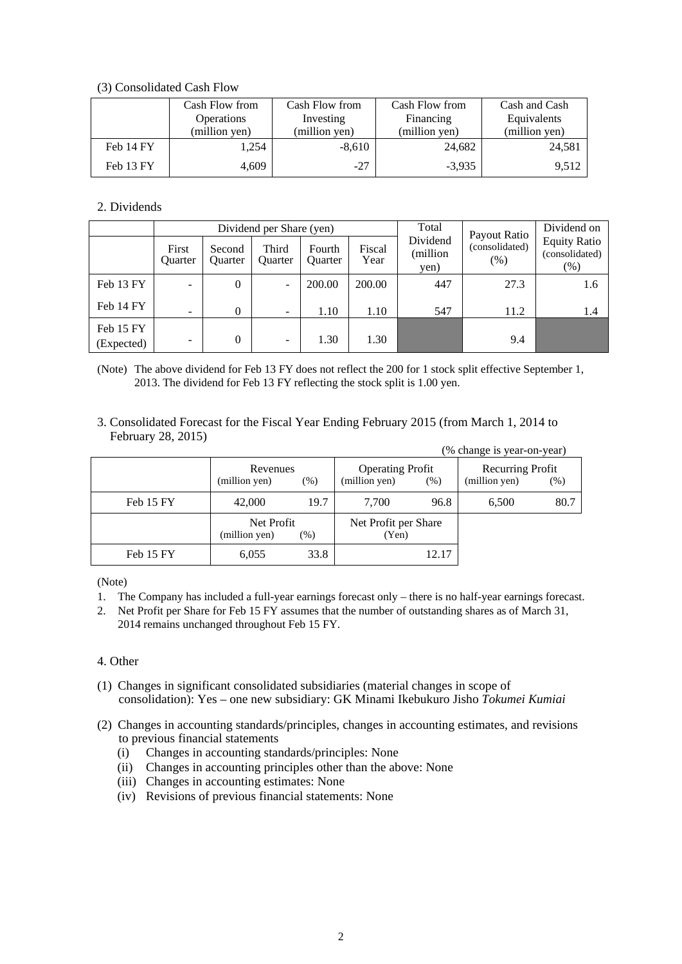#### (3) Consolidated Cash Flow

|                   | Cash Flow from | Cash Flow from | Cash Flow from | Cash and Cash |
|-------------------|----------------|----------------|----------------|---------------|
| <b>Operations</b> |                | Investing      | Financing      | Equivalents   |
|                   | (million yen)  | (million yen)  | (million yen)  | (million yen) |
| Feb 14 FY         | 1.254          | $-8,610$       | 24,682         | 24,581        |
| Feb 13 FY         | 4,609          | $-27$          | $-3,935$       | 9,512         |

### 2. Dividends

|                         |                          |                          | Dividend per Share (yen)     |                          |                | Total                        | Dividend on                           |                                                 |
|-------------------------|--------------------------|--------------------------|------------------------------|--------------------------|----------------|------------------------------|---------------------------------------|-------------------------------------------------|
|                         | First<br>Quarter         | Second<br><b>Ouarter</b> | Third<br><b>Ouarter</b>      | Fourth<br><b>Ouarter</b> | Fiscal<br>Year | Dividend<br>(million<br>yen) | Payout Ratio<br>(consolidated)<br>(%) | <b>Equity Ratio</b><br>(consolidated)<br>$(\%)$ |
| Feb 13 FY               | $\overline{\phantom{a}}$ | $\theta$                 | $\overline{\phantom{a}}$     | 200.00                   | 200.00         | 447                          | 27.3                                  | 1.6                                             |
| Feb 14 FY               | $\overline{\phantom{a}}$ | $\Omega$                 | $\overline{\phantom{a}}$     | 1.10                     | 1.10           | 547                          | 11.2                                  | 1.4                                             |
| Feb 15 FY<br>(Expected) | $\overline{\phantom{0}}$ | 0                        | $\qquad \qquad \blacksquare$ | 1.30                     | 1.30           |                              | 9.4                                   |                                                 |

(Note) The above dividend for Feb 13 FY does not reflect the 200 for 1 stock split effective September 1, 2013. The dividend for Feb 13 FY reflecting the stock split is 1.00 yen.

3. Consolidated Forecast for the Fiscal Year Ending February 2015 (from March 1, 2014 to February 28, 2015) (% change is year-on-year)

|           |                             |        |                                          |       | $\frac{1}{10}$ change is year-on-year) |        |
|-----------|-----------------------------|--------|------------------------------------------|-------|----------------------------------------|--------|
|           | Revenues<br>(million yen)   | $(\%)$ | <b>Operating Profit</b><br>(million yen) | (% )  | Recurring Profit<br>(million yen)      | $(\%)$ |
| Feb 15 FY | 42,000                      | 19.7   | 7.700                                    | 96.8  | 6.500                                  | 80.7   |
|           | Net Profit<br>(million yen) | $(\%)$ | Net Profit per Share<br>(Yen)            |       |                                        |        |
| Feb 15 FY | 6,055                       | 33.8   |                                          | 12.17 |                                        |        |

(Note)

- 1. The Company has included a full-year earnings forecast only there is no half-year earnings forecast.
- 2. Net Profit per Share for Feb 15 FY assumes that the number of outstanding shares as of March 31, 2014 remains unchanged throughout Feb 15 FY.

### 4. Other

- (1) Changes in significant consolidated subsidiaries (material changes in scope of consolidation): Yes – one new subsidiary: GK Minami Ikebukuro Jisho *Tokumei Kumiai*
- (2) Changes in accounting standards/principles, changes in accounting estimates, and revisions to previous financial statements
	- (i) Changes in accounting standards/principles: None
	- (ii) Changes in accounting principles other than the above: None
	- (iii) Changes in accounting estimates: None
	- (iv) Revisions of previous financial statements: None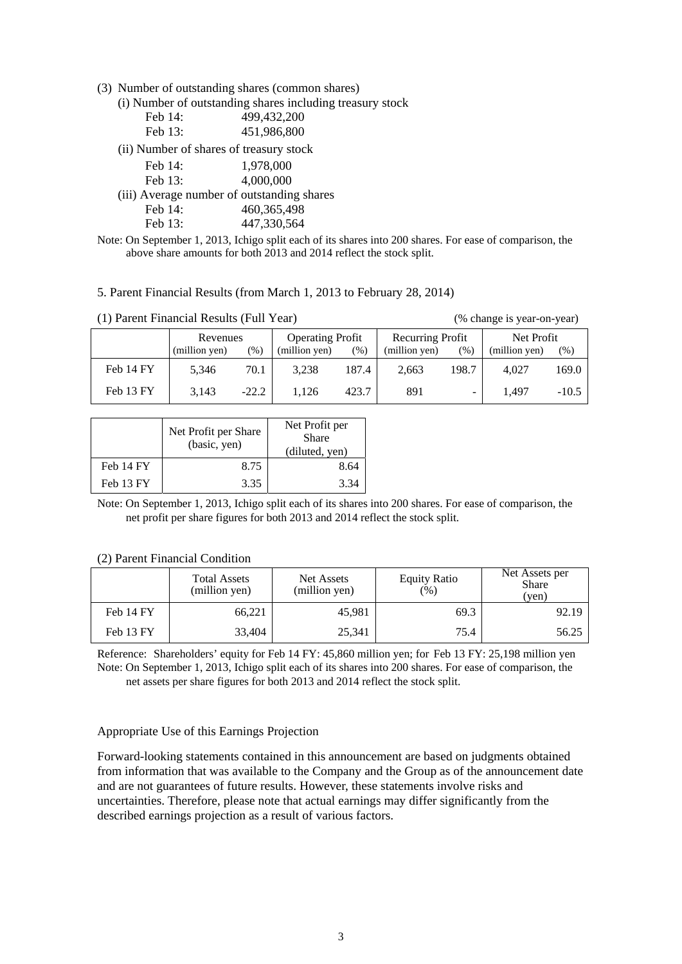(3) Number of outstanding shares (common shares)

(i) Number of outstanding shares including treasury stock

| Feb 14:                                    | 499,432,200   |  |
|--------------------------------------------|---------------|--|
| Feb 13:                                    | 451,986,800   |  |
| (ii) Number of shares of treasury stock    |               |  |
| Feb 14:                                    | 1,978,000     |  |
| Feb 13:                                    | 4,000,000     |  |
| (iii) Average number of outstanding shares |               |  |
| Feb 14:                                    | 460, 365, 498 |  |
|                                            |               |  |

Feb 13: 447,330,564

Note: On September 1, 2013, Ichigo split each of its shares into 200 shares. For ease of comparison, the above share amounts for both 2013 and 2014 reflect the stock split.

#### 5. Parent Financial Results (from March 1, 2013 to February 28, 2014)

(1) Parent Financial Results (Full Year) (% change is year-on-year) Revenues (million yen) (%) Operating Profit (million yen) (%) Recurring Profit (million yen) (%) Net Profit (million yen) (%) Feb 14 FY | 5,346 70.1 | 3,238 187.4 | 2,663 198.7 | 4,027 169.0 Feb 13 FY 3,143 -22.2 1,126 423.7 891 - 1,497 -10.5

|           | Net Profit per Share<br>(basic, yen) | Net Profit per<br><b>Share</b><br>(diluted, yen) |
|-----------|--------------------------------------|--------------------------------------------------|
| Feb 14 FY | 8.75                                 | 8.64                                             |
| Feb 13 FY | 3.35                                 | 3.34                                             |

Note: On September 1, 2013, Ichigo split each of its shares into 200 shares. For ease of comparison, the net profit per share figures for both 2013 and 2014 reflect the stock split.

|           | <b>Total Assets</b><br>(million yen) | Net Assets<br>(million yen) | <b>Equity Ratio</b><br>(% ) | Net Assets per<br><b>Share</b><br>(yen) |
|-----------|--------------------------------------|-----------------------------|-----------------------------|-----------------------------------------|
| Feb 14 FY | 66,221                               | 45,981                      | 69.3                        | 92.19                                   |
| Feb 13 FY | 33,404                               | 25.341                      | 75.4                        | 56.25                                   |

(2) Parent Financial Condition

Reference: Shareholders' equity for Feb 14 FY: 45,860 million yen; for Feb 13 FY: 25,198 million yen Note: On September 1, 2013, Ichigo split each of its shares into 200 shares. For ease of comparison, the net assets per share figures for both 2013 and 2014 reflect the stock split.

#### Appropriate Use of this Earnings Projection

Forward-looking statements contained in this announcement are based on judgments obtained from information that was available to the Company and the Group as of the announcement date and are not guarantees of future results. However, these statements involve risks and uncertainties. Therefore, please note that actual earnings may differ significantly from the described earnings projection as a result of various factors.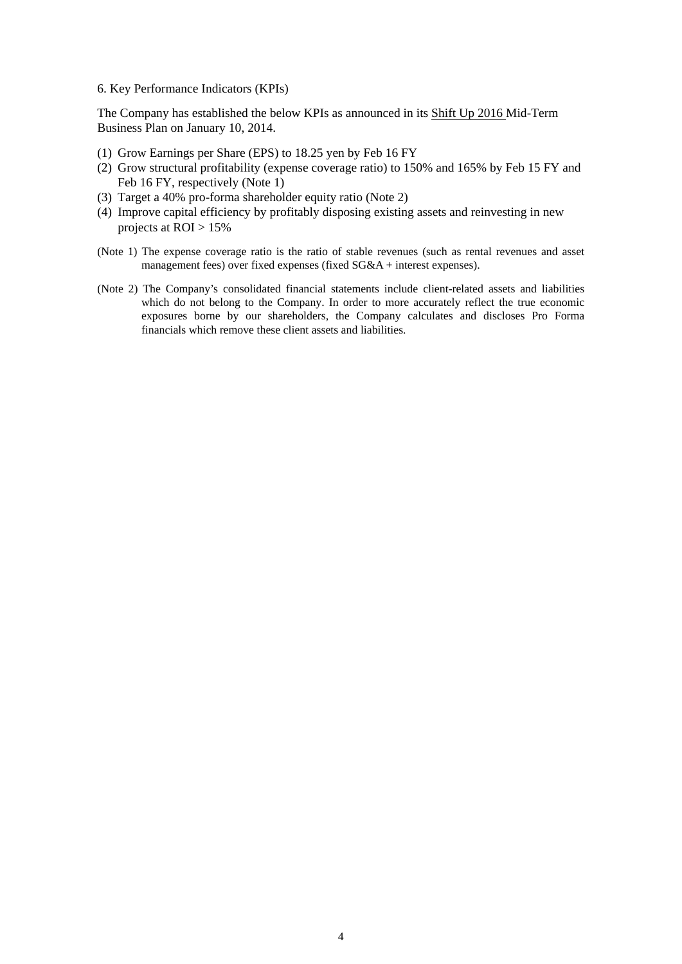6. Key Performance Indicators (KPIs)

The Company has established the below KPIs as announced in its Shift Up 2016 Mid-Term Business Plan on January 10, 2014.

- (1) Grow Earnings per Share (EPS) to 18.25 yen by Feb 16 FY
- (2) Grow structural profitability (expense coverage ratio) to 150% and 165% by Feb 15 FY and Feb 16 FY, respectively (Note 1)
- (3) Target a 40% pro-forma shareholder equity ratio (Note 2)
- (4) Improve capital efficiency by profitably disposing existing assets and reinvesting in new projects at ROI > 15%
- (Note 1) The expense coverage ratio is the ratio of stable revenues (such as rental revenues and asset management fees) over fixed expenses (fixed SG&A + interest expenses).
- (Note 2) The Company's consolidated financial statements include client-related assets and liabilities which do not belong to the Company. In order to more accurately reflect the true economic exposures borne by our shareholders, the Company calculates and discloses Pro Forma financials which remove these client assets and liabilities.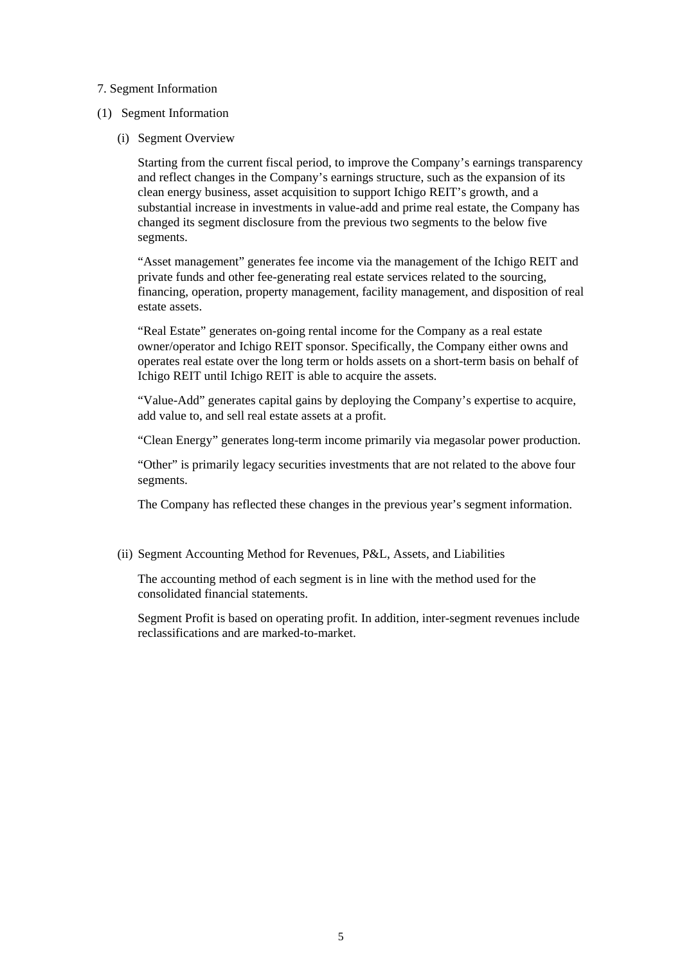#### 7. Segment Information

#### (1) Segment Information

(i) Segment Overview

Starting from the current fiscal period, to improve the Company's earnings transparency and reflect changes in the Company's earnings structure, such as the expansion of its clean energy business, asset acquisition to support Ichigo REIT's growth, and a substantial increase in investments in value-add and prime real estate, the Company has changed its segment disclosure from the previous two segments to the below five segments.

"Asset management" generates fee income via the management of the Ichigo REIT and private funds and other fee-generating real estate services related to the sourcing, financing, operation, property management, facility management, and disposition of real estate assets.

"Real Estate" generates on-going rental income for the Company as a real estate owner/operator and Ichigo REIT sponsor. Specifically, the Company either owns and operates real estate over the long term or holds assets on a short-term basis on behalf of Ichigo REIT until Ichigo REIT is able to acquire the assets.

"Value-Add" generates capital gains by deploying the Company's expertise to acquire, add value to, and sell real estate assets at a profit.

"Clean Energy" generates long-term income primarily via megasolar power production.

"Other" is primarily legacy securities investments that are not related to the above four segments.

The Company has reflected these changes in the previous year's segment information.

(ii) Segment Accounting Method for Revenues, P&L, Assets, and Liabilities

The accounting method of each segment is in line with the method used for the consolidated financial statements.

Segment Profit is based on operating profit. In addition, inter-segment revenues include reclassifications and are marked-to-market.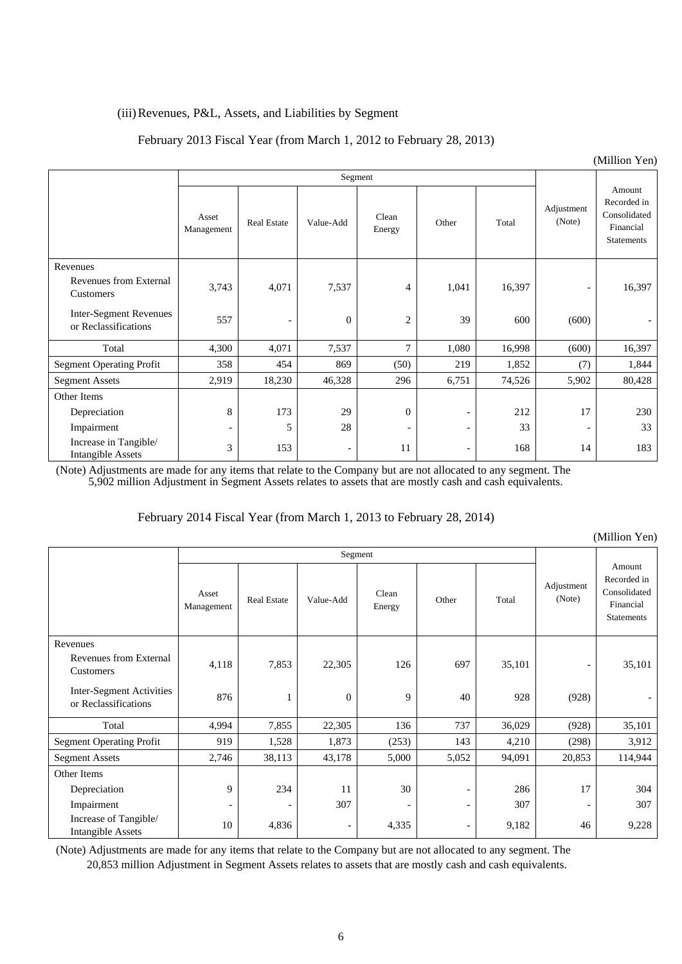### (iii)Revenues, P&L, Assets, and Liabilities by Segment

### February 2013 Fiscal Year (from March 1, 2012 to February 28, 2013)

|                                                       |                          |                          |                          |                          |                          |        |                          | (Million Yen)                                                           |
|-------------------------------------------------------|--------------------------|--------------------------|--------------------------|--------------------------|--------------------------|--------|--------------------------|-------------------------------------------------------------------------|
|                                                       |                          |                          |                          | Segment                  |                          |        |                          |                                                                         |
|                                                       | Asset<br>Management      | <b>Real Estate</b>       | Value-Add                | Clean<br>Energy          | Other                    | Total  | Adjustment<br>(Note)     | Amount<br>Recorded in<br>Consolidated<br>Financial<br><b>Statements</b> |
| Revenues<br>Revenues from External<br>Customers       | 3,743                    | 4,071                    | 7,537                    | 4                        | 1,041                    | 16,397 | $\overline{a}$           | 16,397                                                                  |
| <b>Inter-Segment Revenues</b><br>or Reclassifications | 557                      | $\overline{\phantom{a}}$ | $\mathbf{0}$             | $\overline{c}$           | 39                       | 600    | (600)                    | $\overline{\phantom{a}}$                                                |
| Total                                                 | 4,300                    | 4,071                    | 7,537                    | $\overline{7}$           | 1,080                    | 16,998 | (600)                    | 16,397                                                                  |
| Segment Operating Profit                              | 358                      | 454                      | 869                      | (50)                     | 219                      | 1,852  | (7)                      | 1,844                                                                   |
| <b>Segment Assets</b>                                 | 2,919                    | 18,230                   | 46,328                   | 296                      | 6,751                    | 74,526 | 5,902                    | 80,428                                                                  |
| Other Items                                           |                          |                          |                          |                          |                          |        |                          |                                                                         |
| Depreciation                                          | $\,8$                    | 173                      | 29                       | $\theta$                 |                          | 212    | 17                       | 230                                                                     |
| Impairment                                            | $\overline{\phantom{a}}$ | 5                        | 28                       | $\overline{\phantom{a}}$ |                          | 33     | $\overline{\phantom{a}}$ | 33                                                                      |
| Increase in Tangible/<br><b>Intangible Assets</b>     | $\mathfrak{Z}$           | 153                      | $\overline{\phantom{a}}$ | 11                       | $\overline{\phantom{a}}$ | 168    | 14                       | 183                                                                     |

(Note) Adjustments are made for any items that relate to the Company but are not allocated to any segment. The 5,902 million Adjustment in Segment Assets relates to assets that are mostly cash and cash equivalents.

### February 2014 Fiscal Year (from March 1, 2013 to February 28, 2014)

|                                                   |                          |                    |                          |                 |                          |        |                          | $($ IVIIIIIIOII I EII                                            |
|---------------------------------------------------|--------------------------|--------------------|--------------------------|-----------------|--------------------------|--------|--------------------------|------------------------------------------------------------------|
|                                                   |                          |                    |                          | Segment         |                          |        |                          |                                                                  |
|                                                   | Asset<br>Management      | <b>Real Estate</b> | Value-Add                | Clean<br>Energy | Other                    | Total  | Adjustment<br>(Note)     | Amount<br>Recorded in<br>Consolidated<br>Financial<br>Statements |
| Revenues<br>Revenues from External<br>Customers   | 4,118                    | 7,853              | 22,305                   | 126             | 697                      | 35,101 | $\overline{\phantom{a}}$ | 35,101                                                           |
| Inter-Segment Activities<br>or Reclassifications  | 876                      |                    | $\mathbf{0}$             | 9               | 40                       | 928    | (928)                    |                                                                  |
| Total                                             | 4,994                    | 7,855              | 22,305                   | 136             | 737                      | 36,029 | (928)                    | 35,101                                                           |
| <b>Segment Operating Profit</b>                   | 919                      | 1,528              | 1,873                    | (253)           | 143                      | 4,210  | (298)                    | 3,912                                                            |
| <b>Segment Assets</b>                             | 2,746                    | 38,113             | 43,178                   | 5,000           | 5,052                    | 94,091 | 20,853                   | 114,944                                                          |
| Other Items                                       |                          |                    |                          |                 |                          |        |                          |                                                                  |
| Depreciation                                      | 9                        | 234                | 11                       | 30              | $\overline{\phantom{0}}$ | 286    | 17                       | 304                                                              |
| Impairment                                        | $\overline{\phantom{a}}$ |                    | 307                      |                 | $\overline{\phantom{0}}$ | 307    | $\overline{\phantom{0}}$ | 307                                                              |
| Increase of Tangible/<br><b>Intangible Assets</b> | 10                       | 4,836              | $\overline{\phantom{a}}$ | 4,335           | -                        | 9,182  | 46                       | 9,228                                                            |

(Note) Adjustments are made for any items that relate to the Company but are not allocated to any segment. The 20,853 million Adjustment in Segment Assets relates to assets that are mostly cash and cash equivalents.

(Million Yen)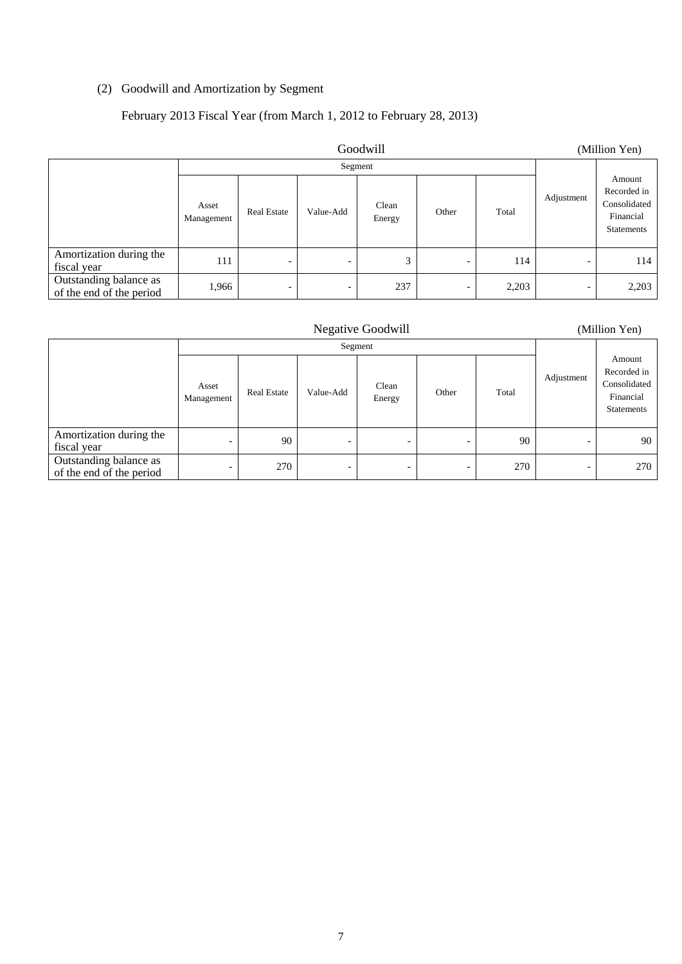## (2) Goodwill and Amortization by Segment

## February 2013 Fiscal Year (from March 1, 2012 to February 28, 2013)

| Goodwill                                           |                     |                          |           |                 |                          |       |                          | (Million Yen)                                                           |
|----------------------------------------------------|---------------------|--------------------------|-----------|-----------------|--------------------------|-------|--------------------------|-------------------------------------------------------------------------|
|                                                    | Segment             |                          |           |                 |                          |       |                          |                                                                         |
|                                                    | Asset<br>Management | <b>Real Estate</b>       | Value-Add | Clean<br>Energy | Other                    | Total | Adjustment               | Amount<br>Recorded in<br>Consolidated<br>Financial<br><b>Statements</b> |
| Amortization during the<br>fiscal year             | 111                 | $\overline{\phantom{0}}$ | -         | 3               | $\overline{\phantom{a}}$ | 114   | $\overline{\phantom{0}}$ | 114                                                                     |
| Outstanding balance as<br>of the end of the period | 1,966               | $\overline{\phantom{0}}$ | -         | 237             | $\overline{\phantom{a}}$ | 2,203 | $\overline{\phantom{0}}$ | 2,203                                                                   |

|                                                    |                     |                    |           | <b>Negative Goodwill</b> |       |       |                          | (Million Yen)                                                           |
|----------------------------------------------------|---------------------|--------------------|-----------|--------------------------|-------|-------|--------------------------|-------------------------------------------------------------------------|
|                                                    | Segment             |                    |           |                          |       |       |                          |                                                                         |
|                                                    | Asset<br>Management | <b>Real Estate</b> | Value-Add | Clean<br>Energy          | Other | Total | Adjustment               | Amount<br>Recorded in<br>Consolidated<br>Financial<br><b>Statements</b> |
| Amortization during the<br>fiscal year             | -                   | 90                 | -         | $\overline{\phantom{0}}$ |       | 90    | $\overline{\phantom{a}}$ | 90                                                                      |
| Outstanding balance as<br>of the end of the period | -                   | 270                | -         | -                        |       | 270   | $\overline{\phantom{a}}$ | 270                                                                     |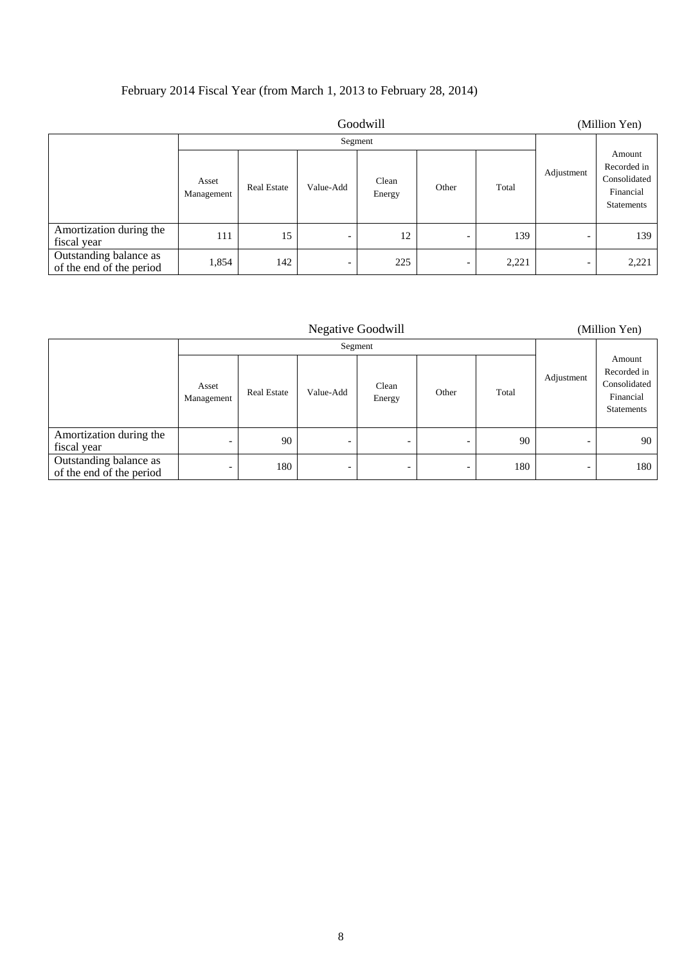### February 2014 Fiscal Year (from March 1, 2013 to February 28, 2014)

| Goodwill                                           |                     |                    |                          |                 |                          | (Million Yen) |                          |                                                                  |
|----------------------------------------------------|---------------------|--------------------|--------------------------|-----------------|--------------------------|---------------|--------------------------|------------------------------------------------------------------|
|                                                    | Segment             |                    |                          |                 |                          |               |                          |                                                                  |
|                                                    | Asset<br>Management | <b>Real Estate</b> | Value-Add                | Clean<br>Energy | Other                    | Total         | Adjustment               | Amount<br>Recorded in<br>Consolidated<br>Financial<br>Statements |
| Amortization during the<br>fiscal year             | 111                 | 15                 | $\overline{\phantom{a}}$ | 12              | $\overline{\phantom{a}}$ | 139           | $\overline{\phantom{0}}$ | 139                                                              |
| Outstanding balance as<br>of the end of the period | 1,854               | 142                | $\overline{\phantom{0}}$ | 225             | $\overline{\phantom{0}}$ | 2,221         | -                        | 2,221                                                            |

Negative Goodwill (Million Yen)

| Segment                                            |                          |                    |           |                          |                          |       |                          |                                                                         |
|----------------------------------------------------|--------------------------|--------------------|-----------|--------------------------|--------------------------|-------|--------------------------|-------------------------------------------------------------------------|
|                                                    | Asset<br>Management      | <b>Real Estate</b> | Value-Add | Clean<br>Energy          | Other                    | Total | Adjustment               | Amount<br>Recorded in<br>Consolidated<br>Financial<br><b>Statements</b> |
| Amortization during the<br>fiscal year             | $\overline{\phantom{a}}$ | 90                 | -         | $\overline{\phantom{0}}$ | $\overline{\phantom{a}}$ | 90    | -                        | 90                                                                      |
| Outstanding balance as<br>of the end of the period | $\overline{\phantom{0}}$ | 180                | -         | -                        | $\overline{\phantom{0}}$ | 180   | $\overline{\phantom{0}}$ | 180                                                                     |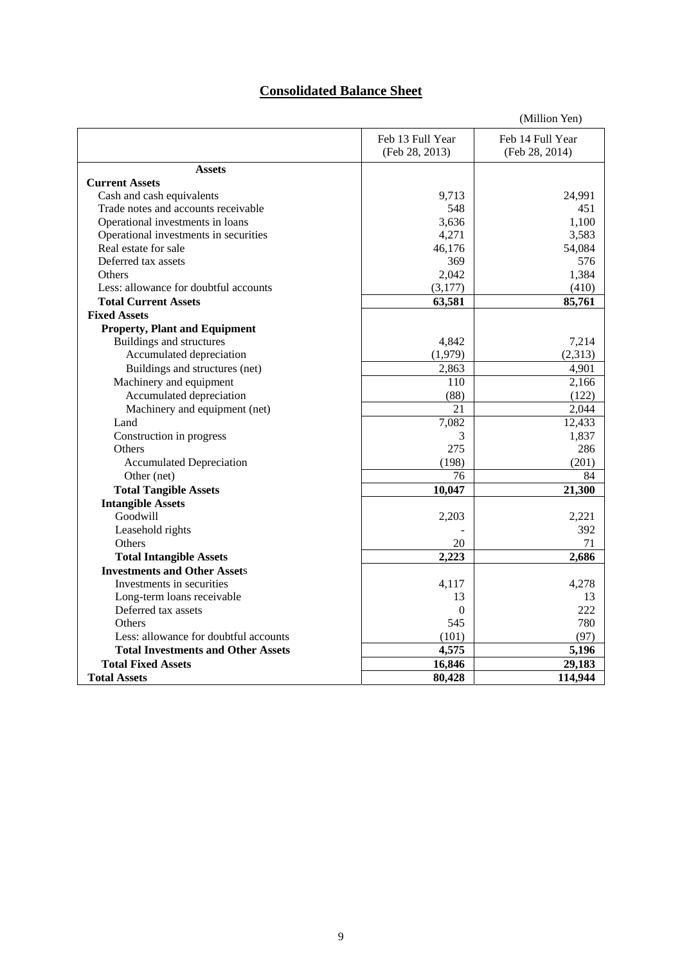## **Consolidated Balance Sheet**

|                                                                        |                    | (Million Yen)    |
|------------------------------------------------------------------------|--------------------|------------------|
|                                                                        | Feb 13 Full Year   | Feb 14 Full Year |
|                                                                        | (Feb 28, 2013)     | (Feb 28, 2014)   |
| <b>Assets</b>                                                          |                    |                  |
| <b>Current Assets</b>                                                  |                    |                  |
| Cash and cash equivalents                                              | 9,713              | 24,991           |
| Trade notes and accounts receivable                                    | 548                | 451              |
| Operational investments in loans                                       | 3,636              | 1,100            |
| Operational investments in securities                                  | 4,271              | 3,583            |
| Real estate for sale                                                   | 46,176             | 54,084           |
| Deferred tax assets                                                    | 369                | 576              |
| Others                                                                 | 2,042              | 1,384            |
| Less: allowance for doubtful accounts                                  | (3,177)            | (410)            |
| <b>Total Current Assets</b>                                            | 63,581             | 85,761           |
| <b>Fixed Assets</b>                                                    |                    |                  |
| <b>Property, Plant and Equipment</b>                                   |                    |                  |
| Buildings and structures                                               | 4,842              | 7,214            |
| Accumulated depreciation                                               | (1,979)            | (2,313)          |
| Buildings and structures (net)                                         | 2,863              | 4,901            |
| Machinery and equipment                                                | 110                | 2,166            |
| Accumulated depreciation                                               | (88)               | (122)            |
| Machinery and equipment (net)                                          | 21                 | 2,044            |
| Land                                                                   | 7,082              | 12,433           |
| Construction in progress                                               | 3                  | 1,837            |
| Others                                                                 | 275                | 286              |
| <b>Accumulated Depreciation</b>                                        | (198)              | (201)            |
| Other (net)                                                            | 76                 | 84               |
|                                                                        |                    |                  |
| <b>Total Tangible Assets</b>                                           | 10,047             | 21,300           |
| <b>Intangible Assets</b><br>Goodwill                                   | 2,203              | 2,221            |
|                                                                        |                    | 392              |
| Leasehold rights<br>Others                                             | 20                 | 71               |
|                                                                        | 2,223              | 2,686            |
| <b>Total Intangible Assets</b><br><b>Investments and Other Assets</b>  |                    |                  |
| Investments in securities                                              |                    |                  |
|                                                                        | 4,117              | 4,278            |
| Long-term loans receivable<br>Deferred tax assets                      | 13<br>$\mathbf{0}$ | 13<br>222        |
| Others                                                                 | 545                | 780              |
| Less: allowance for doubtful accounts                                  |                    |                  |
|                                                                        | (101)              | (97)             |
| <b>Total Investments and Other Assets</b><br><b>Total Fixed Assets</b> | 4,575              | 5,196            |
|                                                                        | 16,846             | 29,183           |
| <b>Total Assets</b>                                                    | 80,428             | 114,944          |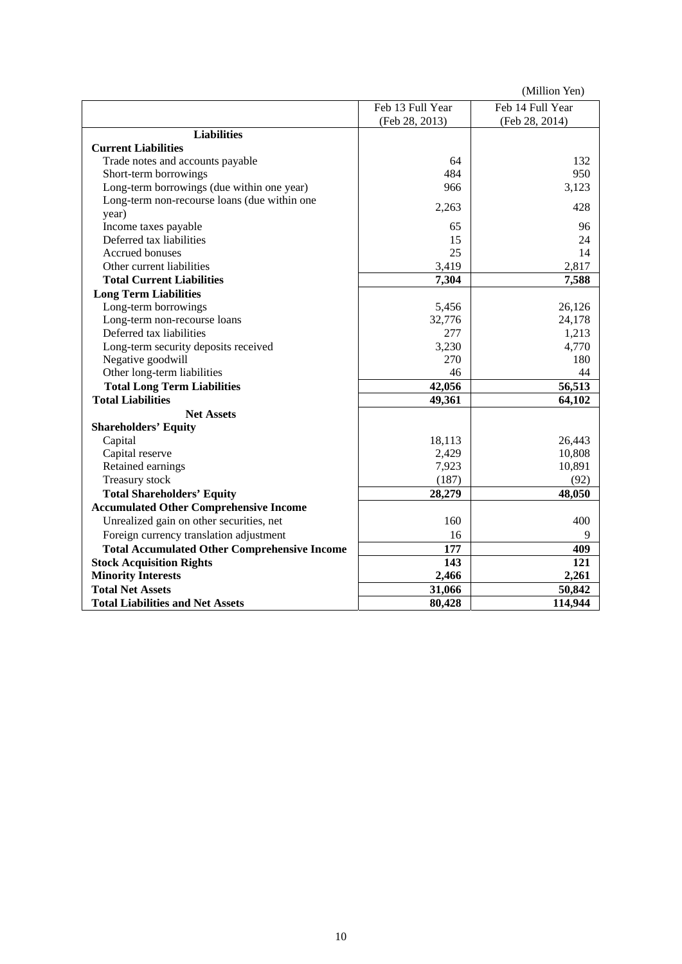|                                                     |                  | (Million Yen)    |
|-----------------------------------------------------|------------------|------------------|
|                                                     | Feb 13 Full Year | Feb 14 Full Year |
|                                                     | (Feb 28, 2013)   | (Feb 28, 2014)   |
| <b>Liabilities</b>                                  |                  |                  |
| <b>Current Liabilities</b>                          |                  |                  |
| Trade notes and accounts payable                    | 64               | 132              |
| Short-term borrowings                               | 484              | 950              |
| Long-term borrowings (due within one year)          | 966              | 3,123            |
| Long-term non-recourse loans (due within one        | 2,263            | 428              |
| year)                                               |                  |                  |
| Income taxes payable                                | 65               | 96               |
| Deferred tax liabilities                            | 15               | 24               |
| Accrued bonuses                                     | 25               | 14               |
| Other current liabilities                           | 3,419            | 2,817            |
| <b>Total Current Liabilities</b>                    | 7,304            | 7,588            |
| <b>Long Term Liabilities</b>                        |                  |                  |
| Long-term borrowings                                | 5,456            | 26,126           |
| Long-term non-recourse loans                        | 32,776           | 24,178           |
| Deferred tax liabilities                            | 277              | 1,213            |
| Long-term security deposits received                | 3,230            | 4,770            |
| Negative goodwill                                   | 270              | 180              |
| Other long-term liabilities                         | 46               | 44               |
| <b>Total Long Term Liabilities</b>                  | 42,056           | 56,513           |
| <b>Total Liabilities</b>                            | 49,361           | 64,102           |
| <b>Net Assets</b>                                   |                  |                  |
| <b>Shareholders' Equity</b>                         |                  |                  |
| Capital                                             | 18,113           | 26,443           |
| Capital reserve                                     | 2,429            | 10,808           |
| Retained earnings                                   | 7,923            | 10,891           |
| Treasury stock                                      | (187)            | (92)             |
| <b>Total Shareholders' Equity</b>                   | 28,279           | 48,050           |
| <b>Accumulated Other Comprehensive Income</b>       |                  |                  |
| Unrealized gain on other securities, net            | 160              | 400              |
| Foreign currency translation adjustment             | 16               | 9                |
| <b>Total Accumulated Other Comprehensive Income</b> | 177              | 409              |
| <b>Stock Acquisition Rights</b>                     | 143              | 121              |
| <b>Minority Interests</b>                           | 2,466            | 2,261            |
| <b>Total Net Assets</b>                             | 31,066           | 50,842           |
| <b>Total Liabilities and Net Assets</b>             | 80,428           | 114,944          |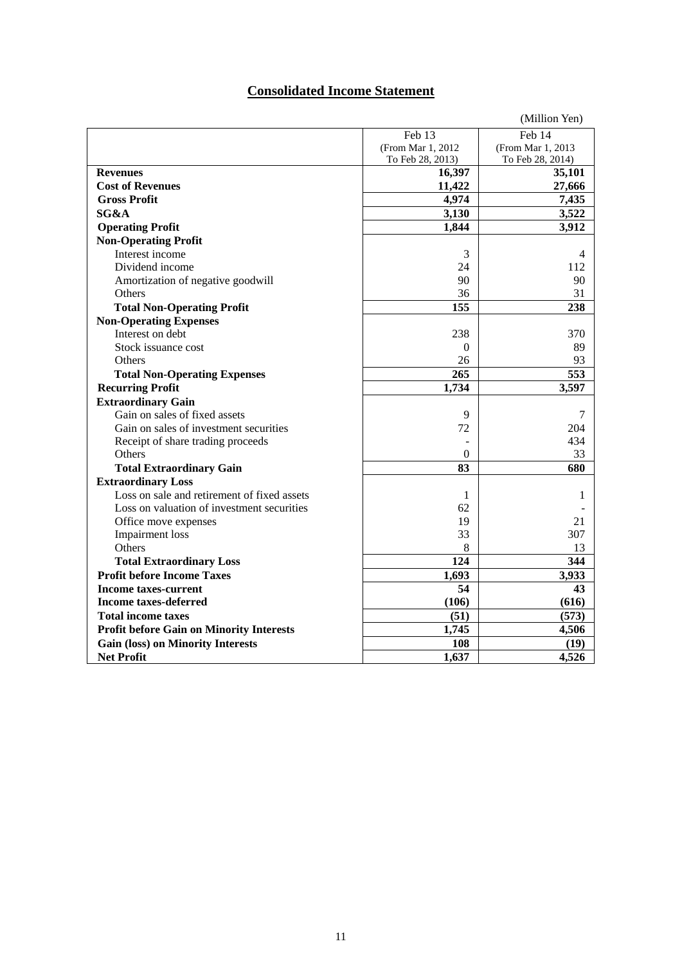## **Consolidated Income Statement**

|                                                 |                    | (Million Yen)     |
|-------------------------------------------------|--------------------|-------------------|
|                                                 | Feb 13             | Feb 14            |
|                                                 | (From Mar 1, 2012) | (From Mar 1, 2013 |
|                                                 | To Feb 28, 2013)   | To Feb 28, 2014)  |
| <b>Revenues</b>                                 | 16,397             | 35,101            |
| <b>Cost of Revenues</b>                         | 11,422             | 27,666            |
| <b>Gross Profit</b>                             | 4,974              | 7,435             |
| SG&A                                            | 3,130              | 3,522             |
| <b>Operating Profit</b>                         | 1,844              | 3,912             |
| <b>Non-Operating Profit</b>                     |                    |                   |
| Interest income                                 | 3                  | 4                 |
| Dividend income                                 | 24                 | 112               |
| Amortization of negative goodwill               | 90                 | 90                |
| Others                                          | 36                 | 31                |
| <b>Total Non-Operating Profit</b>               | 155                | 238               |
| <b>Non-Operating Expenses</b>                   |                    |                   |
| Interest on debt                                | 238                | 370               |
| Stock issuance cost                             | $\mathbf{0}$       | 89                |
| Others                                          | 26                 | 93                |
| <b>Total Non-Operating Expenses</b>             | 265                | 553               |
| <b>Recurring Profit</b>                         | 1,734              | 3,597             |
| <b>Extraordinary Gain</b>                       |                    |                   |
| Gain on sales of fixed assets                   | 9                  | 7                 |
| Gain on sales of investment securities          | 72                 | 204               |
| Receipt of share trading proceeds               |                    | 434               |
| Others                                          | $\theta$           | 33                |
| <b>Total Extraordinary Gain</b>                 | 83                 | 680               |
| <b>Extraordinary Loss</b>                       |                    |                   |
| Loss on sale and retirement of fixed assets     | 1                  | 1                 |
| Loss on valuation of investment securities      | 62                 |                   |
| Office move expenses                            | 19                 | 21                |
| Impairment loss                                 | 33                 | 307               |
| Others                                          | 8                  | 13                |
| <b>Total Extraordinary Loss</b>                 | 124                | 344               |
| <b>Profit before Income Taxes</b>               | 1,693              | 3,933             |
| <b>Income taxes-current</b>                     | 54                 | 43                |
| <b>Income taxes-deferred</b>                    | (106)              | (616)             |
| <b>Total income taxes</b>                       | (51)               | (573)             |
| <b>Profit before Gain on Minority Interests</b> | 1,745              | 4,506             |
| <b>Gain (loss) on Minority Interests</b>        | 108                | (19)              |
| <b>Net Profit</b>                               | 1,637              | 4,526             |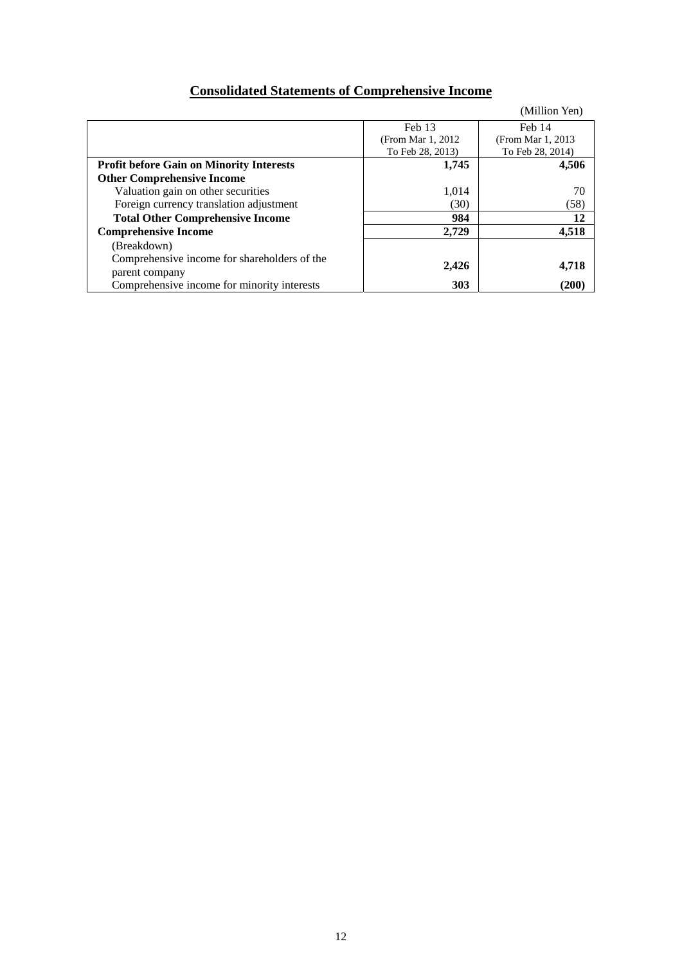# **Consolidated Statements of Comprehensive Income**

|                                                 |                    | (Million Yen)      |
|-------------------------------------------------|--------------------|--------------------|
|                                                 | Feb 13             | Feb 14             |
|                                                 | (From Mar 1, 2012) | (From Mar 1, 2013) |
|                                                 | To Feb 28, 2013)   | To Feb 28, 2014)   |
| <b>Profit before Gain on Minority Interests</b> | 1,745              | 4,506              |
| <b>Other Comprehensive Income</b>               |                    |                    |
| Valuation gain on other securities              | 1.014              | 70                 |
| Foreign currency translation adjustment         | (30)               | (58)               |
| <b>Total Other Comprehensive Income</b>         | 984                | 12                 |
| <b>Comprehensive Income</b>                     | 2.729              | 4,518              |
| (Breakdown)                                     |                    |                    |
| Comprehensive income for shareholders of the    |                    |                    |
| parent company                                  | 2,426              | 4,718              |
| Comprehensive income for minority interests     | 303                | (200)              |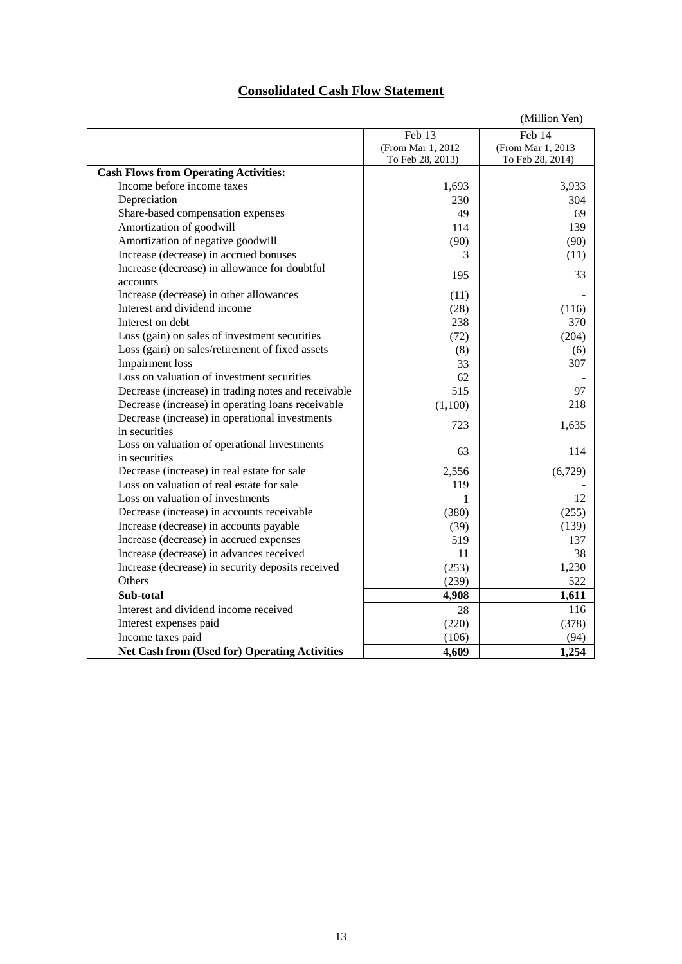## **Consolidated Cash Flow Statement**

|                                                      |                    | (Million Yen)      |
|------------------------------------------------------|--------------------|--------------------|
|                                                      | Feb 13             | Feb 14             |
|                                                      | (From Mar 1, 2012) | (From Mar 1, 2013) |
|                                                      | To Feb 28, 2013)   | To Feb 28, 2014)   |
| <b>Cash Flows from Operating Activities:</b>         |                    |                    |
| Income before income taxes                           | 1,693              | 3,933              |
| Depreciation                                         | 230                | 304                |
| Share-based compensation expenses                    | 49                 | 69                 |
| Amortization of goodwill                             | 114                | 139                |
| Amortization of negative goodwill                    | (90)               | (90)               |
| Increase (decrease) in accrued bonuses               | 3                  | (11)               |
| Increase (decrease) in allowance for doubtful        | 195                | 33                 |
| accounts                                             |                    |                    |
| Increase (decrease) in other allowances              | (11)               |                    |
| Interest and dividend income                         | (28)               | (116)              |
| Interest on debt                                     | 238                | 370                |
| Loss (gain) on sales of investment securities        | (72)               | (204)              |
| Loss (gain) on sales/retirement of fixed assets      | (8)                | (6)                |
| <b>Impairment</b> loss                               | 33                 | 307                |
| Loss on valuation of investment securities           | 62                 |                    |
| Decrease (increase) in trading notes and receivable  | 515                | 97                 |
| Decrease (increase) in operating loans receivable    | (1,100)            | 218                |
| Decrease (increase) in operational investments       | 723                | 1,635              |
| in securities                                        |                    |                    |
| Loss on valuation of operational investments         | 63                 | 114                |
| in securities                                        |                    |                    |
| Decrease (increase) in real estate for sale          | 2,556              | (6,729)            |
| Loss on valuation of real estate for sale            | 119                |                    |
| Loss on valuation of investments                     | 1                  | 12                 |
| Decrease (increase) in accounts receivable           | (380)              | (255)              |
| Increase (decrease) in accounts payable              | (39)               | (139)              |
| Increase (decrease) in accrued expenses              | 519                | 137                |
| Increase (decrease) in advances received             | 11                 | 38                 |
| Increase (decrease) in security deposits received    | (253)              | 1,230              |
| Others                                               | (239)              | 522                |
| Sub-total                                            | 4,908              | 1,611              |
| Interest and dividend income received                | 28                 | 116                |
| Interest expenses paid                               | (220)              | (378)              |
| Income taxes paid                                    | (106)              | (94)               |
| <b>Net Cash from (Used for) Operating Activities</b> | 4,609              | 1,254              |